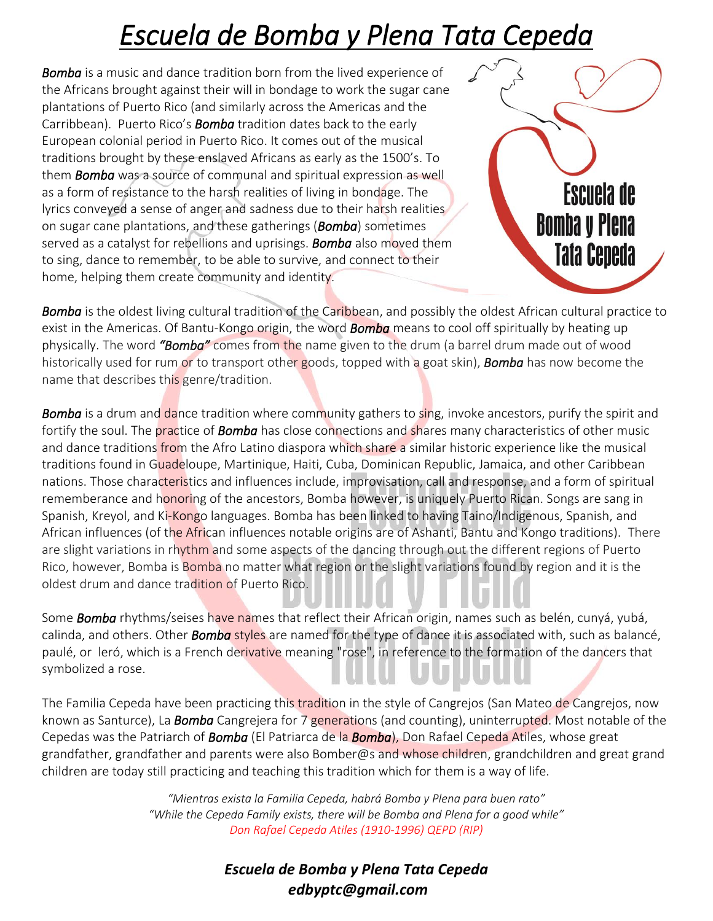## *Escuela de Bomba y Plena Tata Cepeda*

*Bomba* is a music and dance tradition born from the lived experience of the Africans brought against their will in bondage to work the sugar cane plantations of Puerto Rico (and similarly across the Americas and the Carribbean). Puerto Rico's *Bomba* tradition dates back to the early European colonial period in Puerto Rico. It comes out of the musical traditions brought by these enslaved Africans as early as the 1500's. To them *Bomba* was a source of communal and spiritual expression as well as a form of resistance to the harsh realities of living in bondage. The lyrics conveyed a sense of anger and sadness due to their harsh realities on sugar cane plantations, and these gatherings (*Bomba*) sometimes served as a catalyst for rebellions and uprisings. *Bomba* also moved them to sing, dance to remember, to be able to survive, and connect to their home, helping them create community and identity.

Escuela de **Bomba y Piena Tata Cepeda** 

*Bomba* is the oldest living cultural tradition of the Caribbean, and possibly the oldest African cultural practice to exist in the Americas. Of Bantu-Kongo origin, the word *Bomba* means to cool off spiritually by heating up physically. The word *"Bomba"* comes from the name given to the drum (a barrel drum made out of wood historically used for rum or to transport other goods, topped with a goat skin), *Bomba* has now become the name that describes this genre/tradition.

*Bomba* is a drum and dance tradition where community gathers to sing, invoke ancestors, purify the spirit and fortify the soul. The practice of *Bomba* has close connections and shares many characteristics of other music and dance traditions from the Afro Latino diaspora which share a similar historic experience like the musical traditions found in Guadeloupe, Martinique, Haiti, Cuba, Dominican Republic, Jamaica, and other Caribbean nations. Those characteristics and influences include, improvisation, call and response, and a form of spiritual rememberance and honoring of the ancestors, Bomba however, is uniquely Puerto Rican. Songs are sang in Spanish, Kreyol, and Ki-Kongo languages. Bomba has been linked to having Taino/Indigenous, Spanish, and African influences (of the African influences notable origins are of Ashanti, Bantu and Kongo traditions). There are slight variations in rhythm and some aspects of the dancing through out the different regions of Puerto Rico, however, Bomba is Bomba no matter what region or the slight variations found by region and it is the oldest drum and dance tradition of Puerto Rico.

Some *Bomba* rhythms/seises have names that reflect their African origin, names such as belén, cunyá, yubá, calinda, and others. Other *Bomba* styles are named for the type of dance it is associated with, such as balancé, paulé, or leró, which is a French derivative meaning "rose", in reference to the formation of the dancers that symbolized a rose.

The Familia Cepeda have been practicing this tradition in the style of Cangrejos (San Mateo de Cangrejos, now known as Santurce), La *Bomba* Cangrejera for 7 generations (and counting), uninterrupted. Most notable of the Cepedas was the Patriarch of *Bomba* (El Patriarca de la *Bomba*), Don Rafael Cepeda Atiles, whose great grandfather, grandfather and parents were also Bomber@s and whose children, grandchildren and great grand children are today still practicing and teaching this tradition which for them is a way of life.

> *"Mientras exista la Familia Cepeda, habrá Bomba y Plena para buen rato" "While the Cepeda Family exists, there will be Bomba and Plena for a good while" Don Rafael Cepeda Atiles (1910-1996) QEPD (RIP)*

> > *Escuela de Bomba y Plena Tata Cepeda edbyptc@gmail.com*